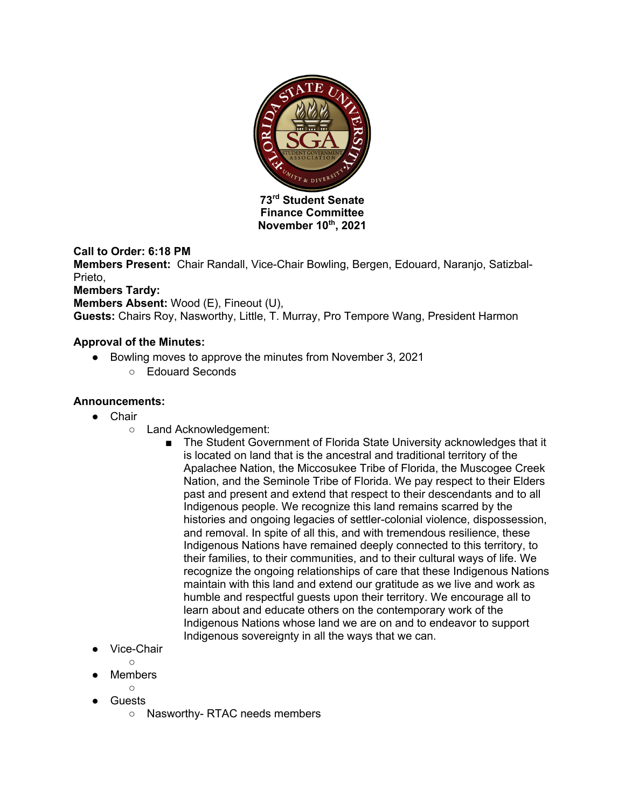

**Finance Committee November 10th, 2021**

# **Call to Order: 6:18 PM**

**Members Present:** Chair Randall, Vice-Chair Bowling, Bergen, Edouard, Naranjo, Satizbal-Prieto

## **Members Tardy:**

**Members Absent:** Wood (E), Fineout (U),

**Guests:** Chairs Roy, Nasworthy, Little, T. Murray, Pro Tempore Wang, President Harmon

### **Approval of the Minutes:**

- Bowling moves to approve the minutes from November 3, 2021
	- Edouard Seconds

### **Announcements:**

- Chair
	- Land Acknowledgement:
		- The Student Government of Florida State University acknowledges that it is located on land that is the ancestral and traditional territory of the Apalachee Nation, the Miccosukee Tribe of Florida, the Muscogee Creek Nation, and the Seminole Tribe of Florida. We pay respect to their Elders past and present and extend that respect to their descendants and to all Indigenous people. We recognize this land remains scarred by the histories and ongoing legacies of settler-colonial violence, dispossession, and removal. In spite of all this, and with tremendous resilience, these Indigenous Nations have remained deeply connected to this territory, to their families, to their communities, and to their cultural ways of life. We recognize the ongoing relationships of care that these Indigenous Nations maintain with this land and extend our gratitude as we live and work as humble and respectful guests upon their territory. We encourage all to learn about and educate others on the contemporary work of the Indigenous Nations whose land we are on and to endeavor to support Indigenous sovereignty in all the ways that we can.
- Vice-Chair

 $\bigcap$ 

- **Members** 
	- $\circ$
- Guests
	- Nasworthy- RTAC needs members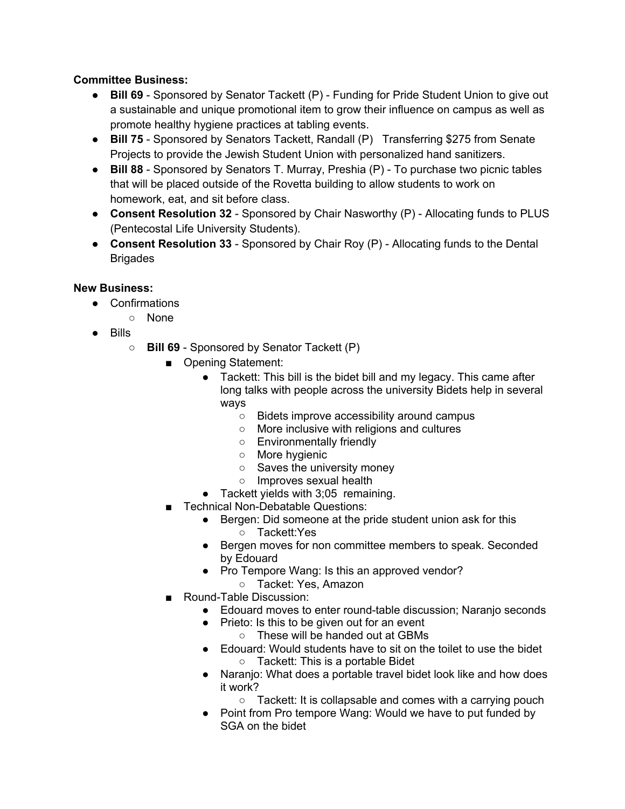## **Committee Business:**

- **Bill 69**  Sponsored by Senator Tackett (P) Funding for Pride Student Union to give out a sustainable and unique promotional item to grow their influence on campus as well as promote healthy hygiene practices at tabling events.
- **Bill 75** Sponsored by Senators Tackett, Randall (P) Transferring \$275 from Senate Projects to provide the Jewish Student Union with personalized hand sanitizers.
- **Bill 88** Sponsored by Senators T. Murray, Preshia (P) To purchase two picnic tables that will be placed outside of the Rovetta building to allow students to work on homework, eat, and sit before class.
- **Consent Resolution 32** Sponsored by Chair Nasworthy (P) Allocating funds to PLUS (Pentecostal Life University Students).
- **Consent Resolution 33** Sponsored by Chair Roy (P) Allocating funds to the Dental **Brigades**

## **New Business:**

- Confirmations
	- None
- Bills
	- **Bill 69** Sponsored by Senator Tackett (P)
		- Opening Statement:
			- Tackett: This bill is the bidet bill and my legacy. This came after long talks with people across the university Bidets help in several ways
				- Bidets improve accessibility around campus
				- More inclusive with religions and cultures
				- Environmentally friendly
				- More hygienic
				- Saves the university money
				- Improves sexual health
			- Tackett yields with 3;05 remaining.
		- Technical Non-Debatable Questions:
			- Bergen: Did someone at the pride student union ask for this
				- Tackett:Yes
			- Bergen moves for non committee members to speak. Seconded by Edouard
			- Pro Tempore Wang: Is this an approved vendor?
				- Tacket: Yes, Amazon
		- Round-Table Discussion:
			- Edouard moves to enter round-table discussion; Naranjo seconds
			- Prieto: Is this to be given out for an event
				- These will be handed out at GBMs
			- Edouard: Would students have to sit on the toilet to use the bidet ○ Tackett: This is a portable Bidet
			- Naranjo: What does a portable travel bidet look like and how does it work?
				- Tackett: It is collapsable and comes with a carrying pouch
			- Point from Pro tempore Wang: Would we have to put funded by SGA on the bidet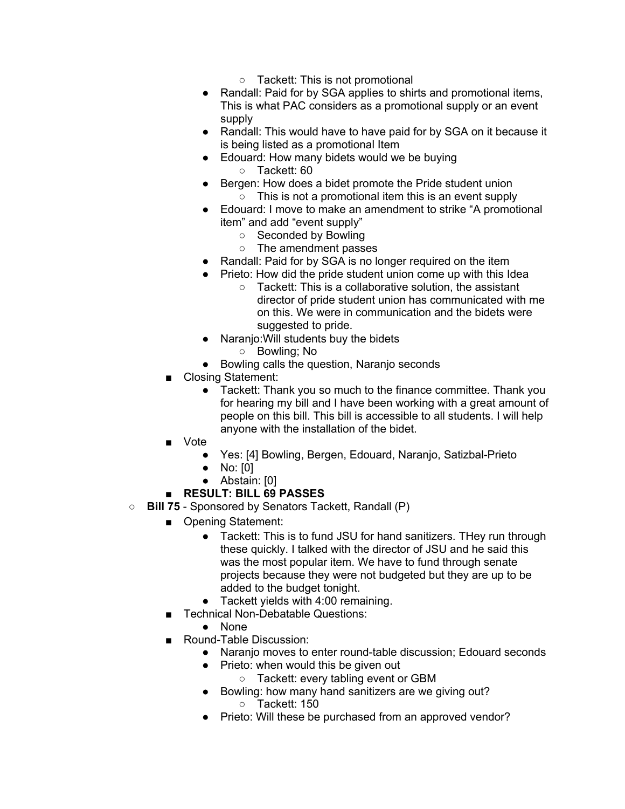- Tackett: This is not promotional
- Randall: Paid for by SGA applies to shirts and promotional items, This is what PAC considers as a promotional supply or an event supply
- Randall: This would have to have paid for by SGA on it because it is being listed as a promotional Item
- Edouard: How many bidets would we be buying ○ Tackett: 60
- Bergen: How does a bidet promote the Pride student union
	- This is not a promotional item this is an event supply
- Edouard: I move to make an amendment to strike "A promotional item" and add "event supply"
	- Seconded by Bowling
	- The amendment passes
- Randall: Paid for by SGA is no longer required on the item
- Prieto: How did the pride student union come up with this Idea
	- Tackett: This is a collaborative solution, the assistant director of pride student union has communicated with me on this. We were in communication and the bidets were suggested to pride.
- Naranjo:Will students buy the bidets
	- Bowling; No
- Bowling calls the question, Naranjo seconds
- Closing Statement:
	- Tackett: Thank you so much to the finance committee. Thank you for hearing my bill and I have been working with a great amount of people on this bill. This bill is accessible to all students. I will help anyone with the installation of the bidet.
- Vote
	- Yes: [4] Bowling, Bergen, Edouard, Naranjo, Satizbal-Prieto
	- No: [0]
	- Abstain: [0]

## ■ **RESULT: BILL 69 PASSES**

- **Bill 75** Sponsored by Senators Tackett, Randall (P)
	- Opening Statement:
		- Tackett: This is to fund JSU for hand sanitizers. THey run through these quickly. I talked with the director of JSU and he said this was the most popular item. We have to fund through senate projects because they were not budgeted but they are up to be added to the budget tonight.
		- Tackett yields with 4:00 remaining.
	- Technical Non-Debatable Questions:
		- None
	- Round-Table Discussion:
		- Naranjo moves to enter round-table discussion; Edouard seconds
		- Prieto: when would this be given out
			- Tackett: every tabling event or GBM
		- Bowling: how many hand sanitizers are we giving out? ○ Tackett: 150
		- Prieto: Will these be purchased from an approved vendor?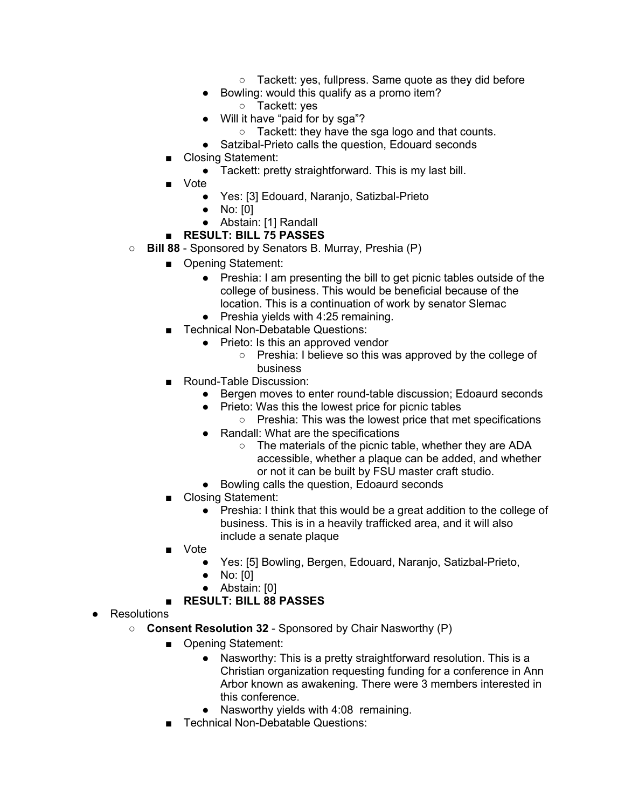- Tackett: ves, fullpress, Same quote as they did before
- Bowling: would this qualify as a promo item?
	- Tackett: yes
- Will it have "paid for by sga"?
	- Tackett: they have the sga logo and that counts.
- Satzibal-Prieto calls the question, Edouard seconds
- Closing Statement:
	- Tackett: pretty straightforward. This is my last bill.
- Vote
	- Yes: [3] Edouard, Naranjo, Satizbal-Prieto
	- No: [0]
	- Abstain: [1] Randall

### ■ **RESULT: BILL 75 PASSES**

- **Bill 88** Sponsored by Senators B. Murray, Preshia (P)
	- Opening Statement:
		- Preshia: I am presenting the bill to get picnic tables outside of the college of business. This would be beneficial because of the location. This is a continuation of work by senator Slemac
		- Preshia yields with 4:25 remaining.
	- Technical Non-Debatable Questions:
		- Prieto: Is this an approved vendor
			- Preshia: I believe so this was approved by the college of business
	- Round-Table Discussion:
		- Bergen moves to enter round-table discussion; Edoaurd seconds
		- Prieto: Was this the lowest price for picnic tables
			- Preshia: This was the lowest price that met specifications
		- Randall: What are the specifications
			- The materials of the picnic table, whether they are ADA accessible, whether a plaque can be added, and whether or not it can be built by FSU master craft studio.
		- Bowling calls the question, Edoaurd seconds
	- Closing Statement:
		- Preshia: I think that this would be a great addition to the college of business. This is in a heavily trafficked area, and it will also include a senate plaque
	- Vote
		- Yes: [5] Bowling, Bergen, Edouard, Naranjo, Satizbal-Prieto,
		- No: [0]
		- Abstain: [0]
	- **RESULT: BILL 88 PASSES**
- Resolutions
	- **Consent Resolution 32** Sponsored by Chair Nasworthy (P)
		- Opening Statement:
			- Nasworthy: This is a pretty straightforward resolution. This is a Christian organization requesting funding for a conference in Ann Arbor known as awakening. There were 3 members interested in this conference.
			- Nasworthy yields with 4:08 remaining.
		- **Technical Non-Debatable Questions:**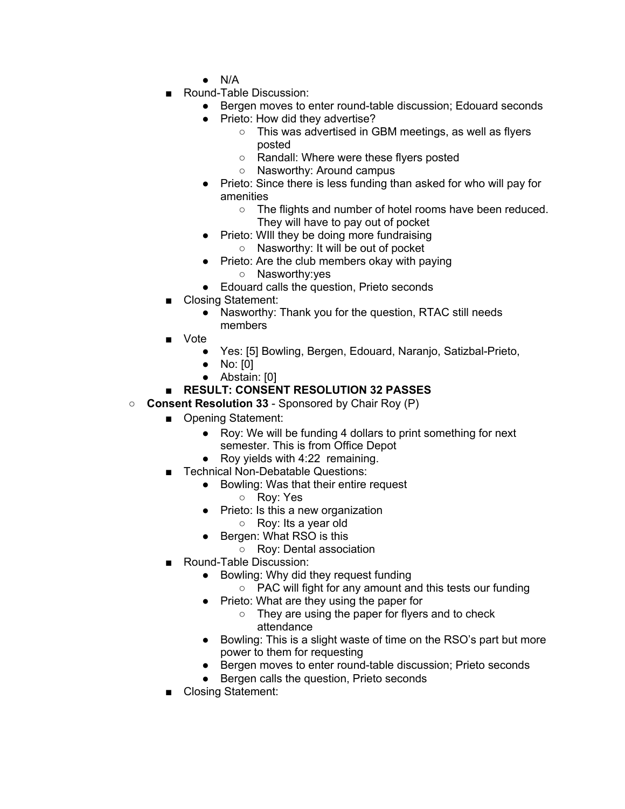- N/A
- Round-Table Discussion:
	- Bergen moves to enter round-table discussion; Edouard seconds
	- Prieto: How did they advertise?
		- This was advertised in GBM meetings, as well as flyers posted
		- Randall: Where were these flyers posted
		- Nasworthy: Around campus
	- Prieto: Since there is less funding than asked for who will pay for amenities
		- The flights and number of hotel rooms have been reduced. They will have to pay out of pocket
	- Prieto: WIII they be doing more fundraising ○ Nasworthy: It will be out of pocket
	- Prieto: Are the club members okay with paying
		- Nasworthy:yes
	- Edouard calls the question, Prieto seconds
- Closing Statement:
	- Nasworthy: Thank you for the question, RTAC still needs members
- Vote
	- Yes: [5] Bowling, Bergen, Edouard, Naranjo, Satizbal-Prieto,
	- No: [0]
	- Abstain: [0]

# ■ **RESULT: CONSENT RESOLUTION 32 PASSES**

- **Consent Resolution 33** Sponsored by Chair Roy (P)
	- Opening Statement:
		- Roy: We will be funding 4 dollars to print something for next semester. This is from Office Depot
		- Roy yields with 4:22 remaining.
		- **Technical Non-Debatable Questions:** 
			- Bowling: Was that their entire request
				- Roy: Yes
				- Prieto: Is this a new organization
					- Roy: Its a year old
					- Bergen: What RSO is this
						- Roy: Dental association
	- Round-Table Discussion:
		- Bowling: Why did they request funding
			- PAC will fight for any amount and this tests our funding
		- Prieto: What are they using the paper for
			- They are using the paper for flyers and to check attendance
		- Bowling: This is a slight waste of time on the RSO's part but more power to them for requesting
		- Bergen moves to enter round-table discussion; Prieto seconds
		- Bergen calls the question, Prieto seconds
	- Closing Statement: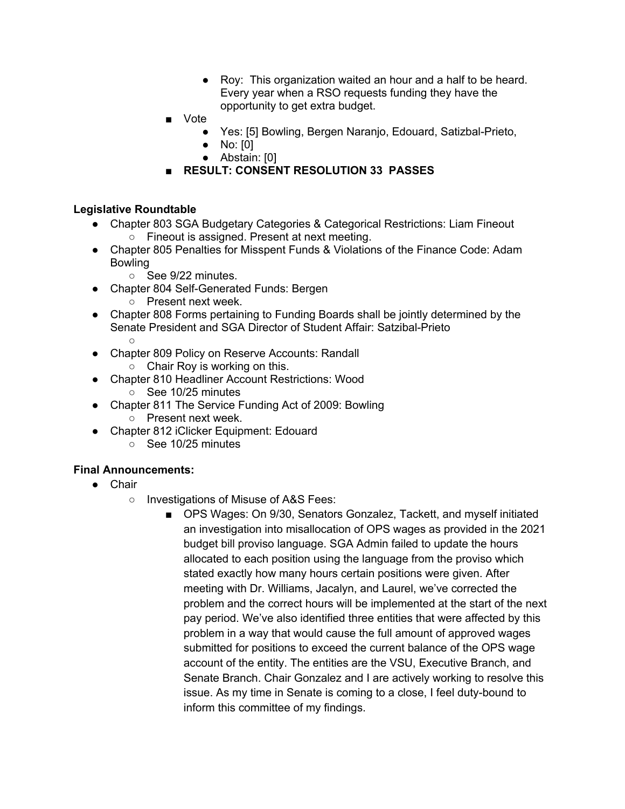- Roy: This organization waited an hour and a half to be heard. Every year when a RSO requests funding they have the opportunity to get extra budget.
- Vote
	- Yes: [5] Bowling, Bergen Naranjo, Edouard, Satizbal-Prieto,
	- No: [0]
		- Abstain: [0]
- **RESULT: CONSENT RESOLUTION 33 PASSES**

#### **Legislative Roundtable**

- Chapter 803 SGA Budgetary Categories & Categorical Restrictions: Liam Fineout ○ Fineout is assigned. Present at next meeting.
- Chapter 805 Penalties for Misspent Funds & Violations of the Finance Code: Adam Bowling
	- See 9/22 minutes.
- Chapter 804 Self-Generated Funds: Bergen
	- Present next week.
- Chapter 808 Forms pertaining to Funding Boards shall be jointly determined by the Senate President and SGA Director of Student Affair: Satzibal-Prieto  $\circ$
- Chapter 809 Policy on Reserve Accounts: Randall
	- $\circ$  Chair Rov is working on this.
- Chapter 810 Headliner Account Restrictions: Wood
	- See 10/25 minutes
- Chapter 811 The Service Funding Act of 2009: Bowling
	- Present next week.
- Chapter 812 iClicker Equipment: Edouard
	- See 10/25 minutes

## **Final Announcements:**

- Chair
	- Investigations of Misuse of A&S Fees:
		- OPS Wages: On 9/30, Senators Gonzalez, Tackett, and myself initiated an investigation into misallocation of OPS wages as provided in the 2021 budget bill proviso language. SGA Admin failed to update the hours allocated to each position using the language from the proviso which stated exactly how many hours certain positions were given. After meeting with Dr. Williams, Jacalyn, and Laurel, we've corrected the problem and the correct hours will be implemented at the start of the next pay period. We've also identified three entities that were affected by this problem in a way that would cause the full amount of approved wages submitted for positions to exceed the current balance of the OPS wage account of the entity. The entities are the VSU, Executive Branch, and Senate Branch. Chair Gonzalez and I are actively working to resolve this issue. As my time in Senate is coming to a close, I feel duty-bound to inform this committee of my findings.